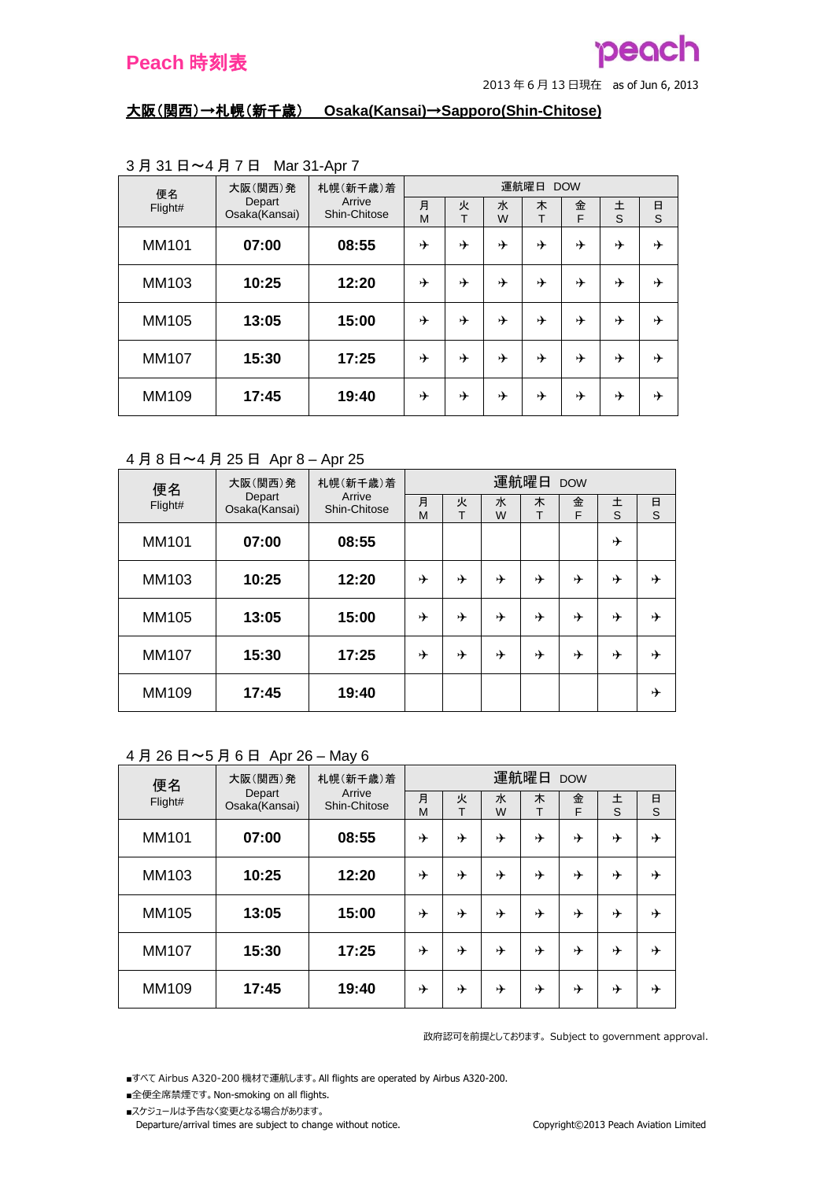#### 大阪(関西)→札幌(新千歳) **Osaka(Kansai)**→**Sapporo(Shin-Chitose)**

| 便名      | 大阪(関西)発                 | 札幌(新千歳)着               | 運航曜日<br><b>DOW</b> |        |        |        |        |        |             |  |
|---------|-------------------------|------------------------|--------------------|--------|--------|--------|--------|--------|-------------|--|
| Flight# | Depart<br>Osaka(Kansai) | Arrive<br>Shin-Chitose | 月<br>M             | 火<br>T | 水<br>W | 木<br>T | 金<br>F | 土<br>S | $\Box$<br>S |  |
| MM101   | 07:00                   | 08:55                  | ⊁                  | ⊁      | ⊁      | →      | ⊁      | ⊁      | ⊁           |  |
| MM103   | 10:25                   | 12:20                  | 十                  | ⊁      | ⊁      | ⊁      | ⊁      | ⊁      | ⊁           |  |
| MM105   | 13:05                   | 15:00                  | 十                  | ⊁      | ⊁      | ⊁      | ⊁      | ⊁      | ⊁           |  |
| MM107   | 15:30                   | 17:25                  | ⊁                  | ⊁      | ⊁      | →      | ⊁      | ⊁      | ⊁           |  |
| MM109   | 17:45                   | 19:40                  | ⊁                  | ⊁      | ⊁      | ⊁      | ⊁      | ⊁      | ⊁           |  |

## 3 月 31 日~4 月 7 日 Mar 31-Apr 7

#### 4 月 8 日~4 月 25 日 Apr 8 – Apr 25

| 便名           | 大阪(関西)発                 | 札幌(新千歳)着<br>Arrive | 運航曜日<br><b>DOW</b> |        |        |        |        |        |        |  |
|--------------|-------------------------|--------------------|--------------------|--------|--------|--------|--------|--------|--------|--|
| Flight#      | Depart<br>Osaka(Kansai) | Shin-Chitose       | 月<br>M             | 火<br>T | 水<br>W | 木<br>т | 金<br>F | 土<br>S | 日<br>S |  |
| <b>MM101</b> | 07:00                   | 08:55              |                    |        |        |        |        | ⊁      |        |  |
| MM103        | 10:25                   | 12:20              | ⊁                  | ⊁      | ⊁      | ⊁      | ⊁      | ⊁      | ⊁      |  |
| MM105        | 13:05                   | 15:00              | ⊁                  | ⊁      | ⊁      | ⊁      | ⊁      | ⊁      | ⊁      |  |
| <b>MM107</b> | 15:30                   | 17:25              | ⊁                  | ⊁      | ⊁      | ⊁      | ⊁      | ⊁      | ⊁      |  |
| MM109        | 17:45                   | 19:40              |                    |        |        |        |        |        | ⊁      |  |

#### 4 月 26 日~5 月 6 日 Apr 26 – May 6

| 便名           | 大阪(関西)発                 | 札幌(新千歳)着<br>Arrive | 運航曜日 DOW |        |        |        |        |        |        |  |  |
|--------------|-------------------------|--------------------|----------|--------|--------|--------|--------|--------|--------|--|--|
| Flight#      | Depart<br>Osaka(Kansai) | Shin-Chitose       | 月<br>M   | 火<br>т | 水<br>W | 木<br>т | 金<br>F | 土<br>S | 日<br>S |  |  |
| <b>MM101</b> | 07:00                   | 08:55              | ⊁        | ⊁      | ⊁      | ⊁      | ⊁      | ⊁      | ⊁      |  |  |
| MM103        | 10:25                   | 12:20              | ⊁        | ⊁      | ⊁      | ⊁      | ⊁      | ⊁      | ⊁      |  |  |
| MM105        | 13:05                   | 15:00              | ⊁        | ⊁      | ⊁      | ⊁      | ⊁      | →      | ⊁      |  |  |
| <b>MM107</b> | 15:30                   | 17:25              | ⊁        | ⊁      | ⊁      | ⊁      | ⊁      | ⊁      | ⊁      |  |  |
| MM109        | 17:45                   | 19:40              | ⊁        | ⊁      | ⊁      | ⊁      | ⊁      | ⊁      | ⊁      |  |  |

政府認可を前提としております。 Subject to government approval.

■すべて Airbus A320-200 機材で運航します。 All flights are operated by Airbus A320-200.

- ■全便全席禁煙です。 Non-smoking on all flights.
- ■スケジュールは予告なく変更となる場合があります。

Departure/arrival times are subject to change without notice. Copyright©2013 Peach Aviation Limited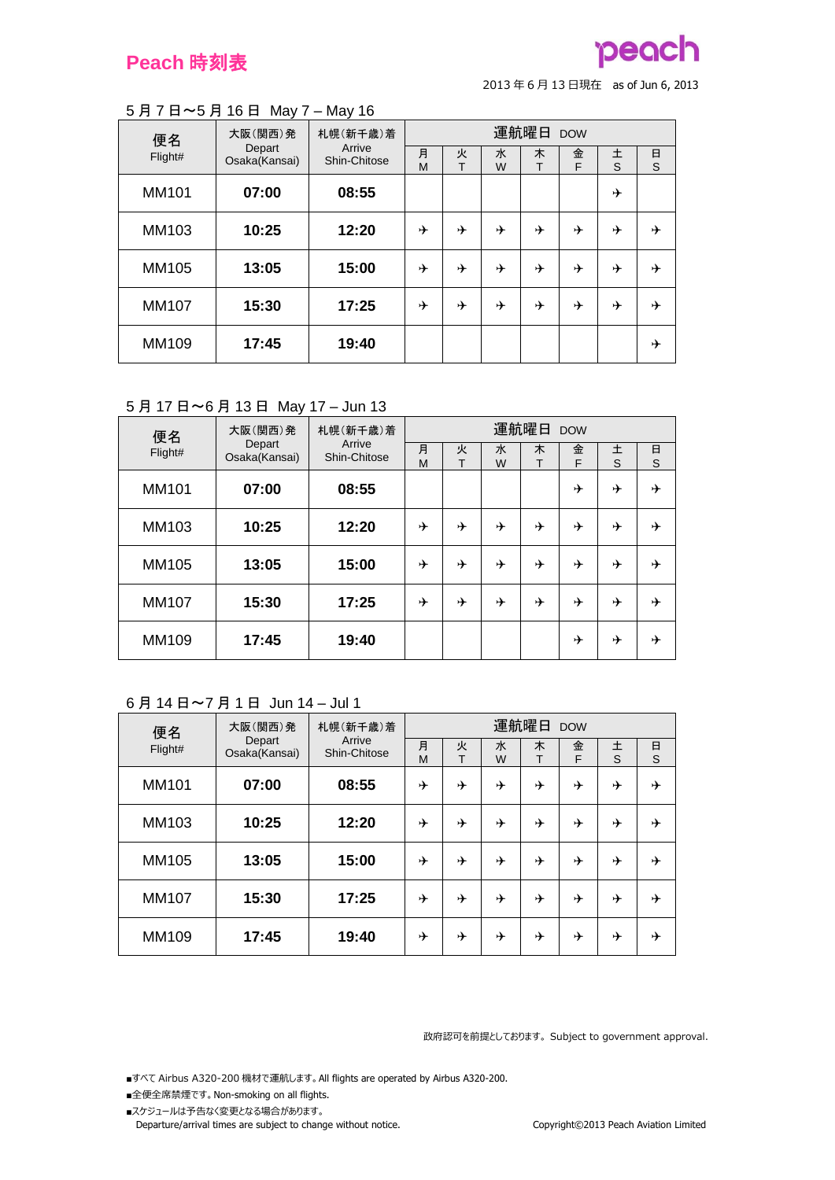

#### 5 月 7 日~5 月 16 日 May 7 – May 16

| 便名           | 大阪(関西)発                 | 札幌(新千歳)着<br>Arrive | 運航曜日 DOW |        |        |        |        |        |        |  |
|--------------|-------------------------|--------------------|----------|--------|--------|--------|--------|--------|--------|--|
| Flight#      | Depart<br>Osaka(Kansai) | Shin-Chitose       | 月<br>M   | 火<br>т | 水<br>W | 木<br>т | 金<br>F | 土<br>S | 日<br>S |  |
| <b>MM101</b> | 07:00                   | 08:55              |          |        |        |        |        | ⊁      |        |  |
| MM103        | 10:25                   | 12:20              | ⊁        | ⊁      | ⊁      | ⊁      | ⊁      | ⊁      | ⊁      |  |
| MM105        | 13:05                   | 15:00              | ⊁        | ⊁      | ⊁      | ⊁      | ⊁      | ⊁      | ⊁      |  |
| <b>MM107</b> | 15:30                   | 17:25              | ⊁        | ⊁      | ⊁      | ⊁      | ⊁      | ⊁      | ⊁      |  |
| MM109        | 17:45                   | 19:40              |          |        |        |        |        |        | ⊁      |  |

## 5 月 17 日~6 月 13 日 May 17 – Jun 13

| 便名           | 大阪(関西)発                 | 札幌(新千歳)着               | 運航曜日 DOW |        |        |        |        |        |               |
|--------------|-------------------------|------------------------|----------|--------|--------|--------|--------|--------|---------------|
| Flight#      | Depart<br>Osaka(Kansai) | Arrive<br>Shin-Chitose | 月<br>M   | 火<br>Т | 水<br>W | 木<br>Т | 金<br>F | 土<br>S | $\frac{E}{S}$ |
| MM101        | 07:00                   | 08:55                  |          |        |        |        | ⊁      | ⊁      | ⊁             |
| MM103        | 10:25                   | 12:20                  | ⊁        | ⊁      | ⊁      | ⊁      | ⊁      | ⊁      | ⊁             |
| MM105        | 13:05                   | 15:00                  | ⊁        | ⊁      | ⊁      | ⊁      | ⊁      | ⊁      | ⊁             |
| <b>MM107</b> | 15:30                   | 17:25                  | ⊁        | ⊁      | ⊁      | ⊁      | ⊁      | ⊁      | ⊁             |
| MM109        | 17:45                   | 19:40                  |          |        |        |        | ⊁      | ⊁      | ⊁             |

## 6 月 14 日~7 月 1 日 Jun 14 – Jul 1

| 便名           | 大阪(関西)発                 | 札幌(新千歳)着<br>Arrive | 運航曜日 DOW |        |        |        |        |        |        |  |  |
|--------------|-------------------------|--------------------|----------|--------|--------|--------|--------|--------|--------|--|--|
| Flight#      | Depart<br>Osaka(Kansai) | Shin-Chitose       | 月<br>M   | 火<br>т | 水<br>W | 木<br>т | 金<br>F | 土<br>S | 日<br>S |  |  |
| MM101        | 07:00                   | 08:55              | ⊁        | ⊁      | →      | ⊁      | ⊁      | ⊁      | ⊁      |  |  |
| MM103        | 10:25                   | 12:20              | ⊁        | ⊁      | →      | ⊁      | ⊁      | ⊁      | ⊁      |  |  |
| MM105        | 13:05                   | 15:00              | ⊁        | ⊁      | ⊁      | ⊁      | ⊁      | ⊁      | ⊁      |  |  |
| <b>MM107</b> | 15:30                   | 17:25              | ⊁        | ⊁      | →      | ⊁      | ⊁      | ⊁      | ⊁      |  |  |
| MM109        | 17:45                   | 19:40              | ⊁        | ⊁      | ⊁      | ⊁      | ⊁      | ⊁      | ⊁      |  |  |

政府認可を前提としております。 Subject to government approval.

- ■全便全席禁煙です。 Non-smoking on all flights.
- ■スケジュールは予告なく変更となる場合があります。 Departure/arrival times are subject to change without notice. Copyright©2013 Peach Aviation Limited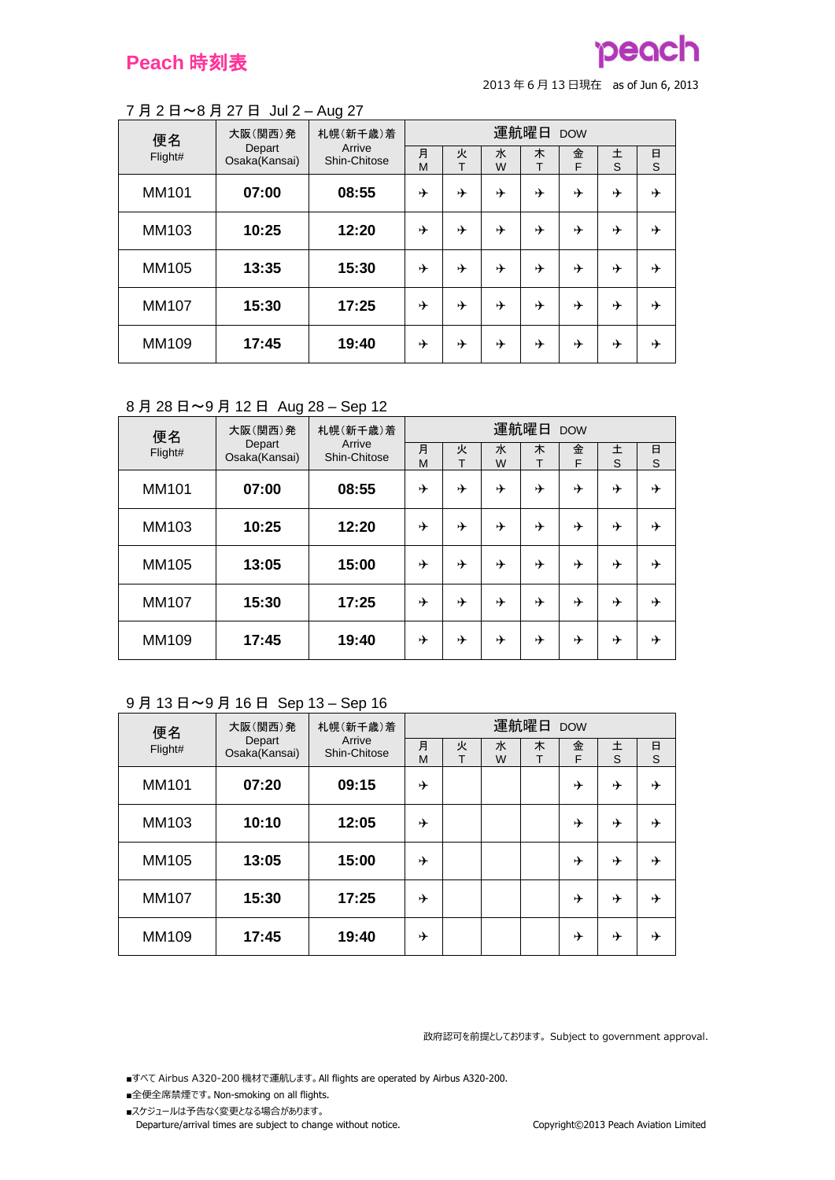# peach

<sup>2013</sup> <sup>年</sup> <sup>6</sup> <sup>月</sup> <sup>13</sup> 日現在 as of Jun 6, 2013

#### 7 月 2 日~8 月 27 日 Jul 2 – Aug 27

| 便名           | 大阪(関西)発       | 札幌(新千歳)着<br>Arrive<br>Depart | 運航曜日 DOW |        |        |        |        |        |        |  |
|--------------|---------------|------------------------------|----------|--------|--------|--------|--------|--------|--------|--|
| Flight#      | Osaka(Kansai) | Shin-Chitose                 | 月<br>M   | 火<br>т | 水<br>W | 木<br>т | 金<br>F | 土<br>S | 日<br>S |  |
| MM101        | 07:00         | 08:55                        | ⊁        | ⊁      | ⊁      | ⊁      | ⊁      | ⊁      | ⊁      |  |
| MM103        | 10:25         | 12:20                        | ⊁        | ⊁      | ⊁      | ⊁      | ⊁      | ⊁      | ⊁      |  |
| MM105        | 13:35         | 15:30                        | →        | ⊁      | ⊁      | ⊁      | ⊁      | ⊁      | ⊁      |  |
| <b>MM107</b> | 15:30         | 17:25                        | ⊁        | ⊁      | ⊁      | ⊁      | ⊁      | ⊁      | ⊁      |  |
| MM109        | 17:45         | 19:40                        | ⊁        | ⊁      | ⊁      | ⊁      | ⊁      | ⊁      | ⊁      |  |

## 8 月 28 日~9 月 12 日 Aug 28 – Sep 12

| 便名           | 大阪(関西)発                 | 札幌(新千歳)着<br>Arrive | 運航曜日 DOW |        |        |        |        |        |        |  |
|--------------|-------------------------|--------------------|----------|--------|--------|--------|--------|--------|--------|--|
| Flight#      | Depart<br>Osaka(Kansai) | Shin-Chitose       | 月<br>M   | 火<br>т | 水<br>W | 木<br>т | 金<br>F | 土<br>S | 日<br>S |  |
| MM101        | 07:00                   | 08:55              | ⊁        | ⊁      | ⊁      | ⊁      | ⊁      | ⊁      | ⊁      |  |
| MM103        | 10:25                   | 12:20              | ⊁        | ⊁      | ⊁      | ⊁      | ⊁      | ⊁      | ⊁      |  |
| MM105        | 13:05                   | 15:00              | ⊁        | ⊁      | ⊁      | ⊁      | →      | ⊁      | ⊁      |  |
| <b>MM107</b> | 15:30                   | 17:25              | ⊁        | ⊁      | ⊁      | ⊁      | ⊁      | ⊁      | ⊁      |  |
| MM109        | 17:45                   | 19:40              | ⊁        | ⊁      | ⊁      | ⊁      | ⊁      | ⊁      | ⊁      |  |

#### 9 月 13 日~9 月 16 日 Sep 13 – Sep 16

| 便名           | 大阪(関西)発                 | 札幌(新千歳)着<br>Arrive | 運航曜日 DOW |        |        |        |        |        |        |  |
|--------------|-------------------------|--------------------|----------|--------|--------|--------|--------|--------|--------|--|
| Flight#      | Depart<br>Osaka(Kansai) | Shin-Chitose       | 月<br>M   | 火<br>т | 水<br>W | 木<br>т | 金<br>F | 土<br>S | 日<br>S |  |
| MM101        | 07:20                   | 09:15              | ⊁        |        |        |        | →      | ⊁      | ⊁      |  |
| MM103        | 10:10                   | 12:05              | ⊁        |        |        |        | →      | ⊁      | ⊁      |  |
| MM105        | 13:05                   | 15:00              | ⊁        |        |        |        | ⊁      | ⊁      | ⊁      |  |
| <b>MM107</b> | 15:30                   | 17:25              | ⊁        |        |        |        | →      | ⊁      | ⊁      |  |
| MM109        | 17:45                   | 19:40              | ⊁        |        |        |        | ⊁      | ⊁      | ⊁      |  |

政府認可を前提としております。 Subject to government approval.

- ■全便全席禁煙です。 Non-smoking on all flights.
- ■スケジュールは予告なく変更となる場合があります。 Departure/arrival times are subject to change without notice. Copyright©2013 Peach Aviation Limited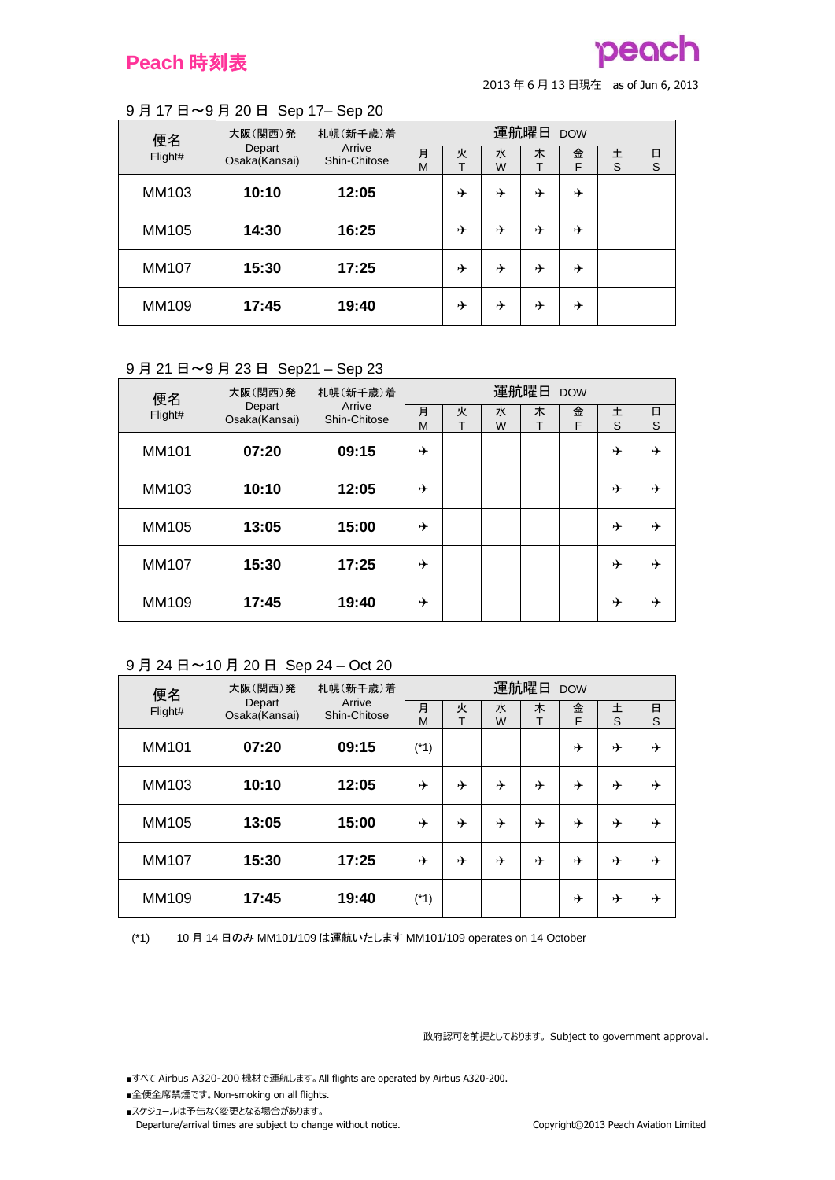## **Peach** 時刻表



<sup>2013</sup> <sup>年</sup> <sup>6</sup> <sup>月</sup> <sup>13</sup> 日現在 as of Jun 6, 2013

#### 9 月 17 日~9 月 20 日 Sep 17– Sep 20

| 大阪(関西)発<br>便名<br>Depart | 札幌(新千歳)着      | 運航曜日 DOW               |        |        |        |   |        |        |        |
|-------------------------|---------------|------------------------|--------|--------|--------|---|--------|--------|--------|
| Flight#                 | Osaka(Kansai) | Arrive<br>Shin-Chitose | 月<br>M | 火<br>т | 水<br>W | 木 | 金<br>F | 土<br>S | 日<br>S |
| MM103                   | 10:10         | 12:05                  |        | ⊬      | ⊁      | ⊁ | ⊁      |        |        |
| MM105                   | 14:30         | 16:25                  |        | ⊬      | ⊁      | ⊁ | ⊁      |        |        |
| <b>MM107</b>            | 15:30         | 17:25                  |        | →      | ⊁      | ⊁ | ⊁      |        |        |
| MM109                   | 17:45         | 19:40                  |        | ⊬      | ⊁      | ⊁ | ⊁      |        |        |

#### 9 月 21 日~9 月 23 日 Sep21 – Sep 23

| 便名           | 大阪(関西)発                 | 札幌(新千歳)着<br>Arrive |        |        |        | 運航曜日 DOW |        |        |        |
|--------------|-------------------------|--------------------|--------|--------|--------|----------|--------|--------|--------|
| Flight#      | Depart<br>Osaka(Kansai) | Shin-Chitose       | 月<br>M | 火<br>т | 水<br>W | 木<br>т   | 金<br>F | 土<br>S | 日<br>S |
| MM101        | 07:20                   | 09:15              | ⊁      |        |        |          |        | ⊁      | ⊁      |
| MM103        | 10:10                   | 12:05              | ⊁      |        |        |          |        | ⊁      | ⊁      |
| MM105        | 13:05                   | 15:00              | ⊁      |        |        |          |        | ⊁      | ⊁      |
| <b>MM107</b> | 15:30                   | 17:25              | ⊁      |        |        |          |        | ⊁      | ⊁      |
| MM109        | 17:45                   | 19:40              | ⊁      |        |        |          |        | ⊁      | ⊁      |

#### 9 月 24 日~10 月 20 日 Sep 24 – Oct 20

| 大阪(関西)発<br>便名<br>Depart |               | 札幌(新千歳)着               | 運航曜日 DOW |        |        |        |        |        |        |
|-------------------------|---------------|------------------------|----------|--------|--------|--------|--------|--------|--------|
| Flight#                 | Osaka(Kansai) | Arrive<br>Shin-Chitose | 月<br>M   | 火<br>T | 水<br>W | 木<br>т | 金<br>F | 土<br>S | 日<br>S |
| MM101                   | 07:20         | 09:15                  | $(*1)$   |        |        |        | ⊁      | ⊁      | ⊁      |
| MM103                   | 10:10         | 12:05                  | ⊁        | ⊁      | →      | ⊁      | ⊁      | ⊁      | ⊁      |
| MM105                   | 13:05         | 15:00                  | ⊁        | ⊁      | →      | ⊁      | ⊁      | ⊁      | ⊁      |
| <b>MM107</b>            | 15:30         | 17:25                  | ⊁        | ⊁      | →      | ⊁      | ⊁      | ⊁      | ⊁      |
| MM109                   | 17:45         | 19:40                  | (*1)     |        |        |        | ⊁      | ⊁      | ⊁      |

(\*1) 10 月 14 日のみ MM101/109 は運航いたします MM101/109 operates on 14 October

政府認可を前提としております。 Subject to government approval.

- ■全便全席禁煙です。 Non-smoking on all flights.
- ■スケジュールは予告なく変更となる場合があります。 Departure/arrival times are subject to change without notice. Copyright©2013 Peach Aviation Limited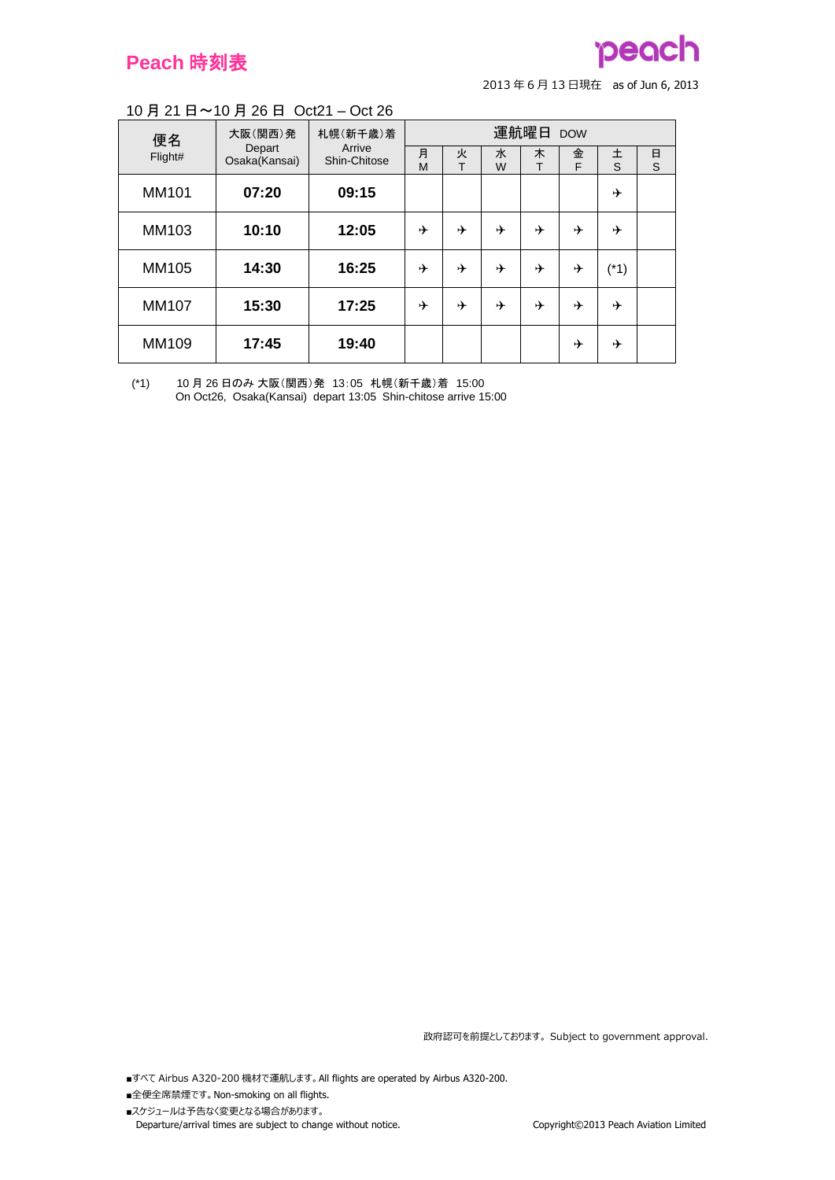## **Peach** 時刻表

# peach

<sup>2013</sup> <sup>年</sup> <sup>6</sup> <sup>月</sup> <sup>13</sup> 日現在 as of Jun 6, 2013

#### 10 月 21 日~10 月 26 日 Oct21 – Oct 26

| 便名           | 大阪(関西)発                 | 札幌(新千歳)着<br>Arrive | 運航曜日 DOW |        |        |   |        |        |        |  |
|--------------|-------------------------|--------------------|----------|--------|--------|---|--------|--------|--------|--|
| Flight#      | Depart<br>Osaka(Kansai) | Shin-Chitose       | 月<br>M   | 火<br>T | 水<br>W | 木 | 金<br>F | 土<br>S | 日<br>S |  |
| MM101        | 07:20                   | 09:15              |          |        |        |   |        | ⊁      |        |  |
| MM103        | 10:10                   | 12:05              | ⊁        | ⊁      | ⊁      | ⊁ | ⊁      | ⊁      |        |  |
| MM105        | 14:30                   | 16:25              | ⊁        | ⊁      | ⊁      | ⊁ | ⊁      | $(*1)$ |        |  |
| <b>MM107</b> | 15:30                   | 17:25              | ⊁        | ⊁      | ⊁      | ⊁ | ⊁      | ⊁      |        |  |
| MM109        | 17:45                   | 19:40              |          |        |        |   | ⊁      | ⊁      |        |  |

(\*1) 10 月 26 日のみ 大阪(関西)発 13:05 札幌(新千歳)着 15:00 On Oct26, Osaka(Kansai) depart 13:05 Shin-chitose arrive 15:00

政府認可を前提としております。 Subject to government approval.

- ■全便全席禁煙です。 Non-smoking on all flights.
- ■スケジュールは予告なく変更となる場合があります。 Departure/arrival times are subject to change without notice. Copyright©2013 Peach Aviation Limited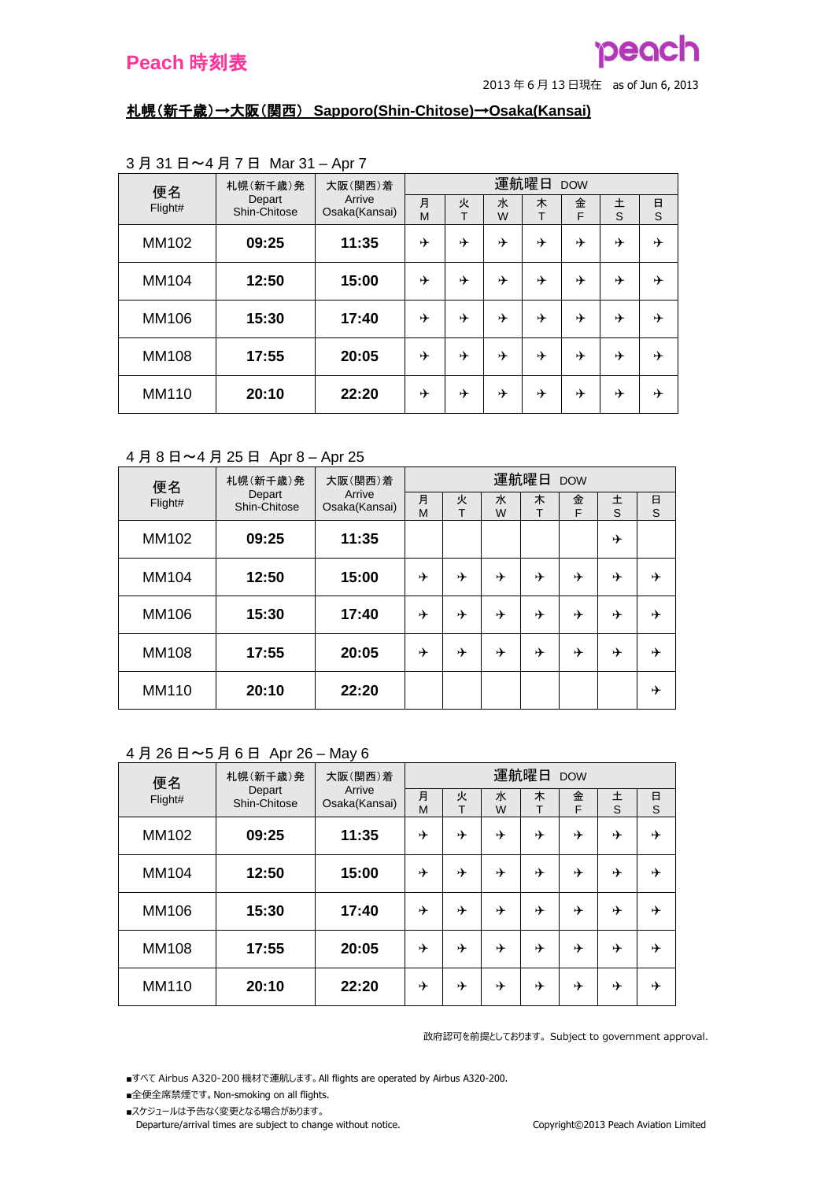

#### 札幌(新千歳)→大阪(関西) **Sapporo(Shin-Chitose)**→**Osaka(Kansai)**

| 便名           | 札幌(新千歳)発               | 大阪(関西)着                 |        |        |        | 運航曜日   | <b>DOW</b> |        |        |  |
|--------------|------------------------|-------------------------|--------|--------|--------|--------|------------|--------|--------|--|
| Flight#      | Depart<br>Shin-Chitose | Arrive<br>Osaka(Kansai) | 月<br>M | 火<br>т | 水<br>W | 木<br>т | 金<br>F     | 土<br>S | 日<br>S |  |
| MM102        | 09:25                  | 11:35                   | ⊁      | ⊁      | ⊁      | ⊁      | ⊁          | ⊁      | ⊁      |  |
|              |                        |                         |        |        |        |        |            |        |        |  |
| MM104        | 12:50                  | 15:00                   | ⊁      | ⊁      | ⊁      | ⊁      | ⊁          | ⊁      | ⊁      |  |
| MM106        | 15:30                  | 17:40                   | ⊁      | ⊁      | ⊁      | ⊁      | ⊁          | ⊁      | ⊁      |  |
| <b>MM108</b> | 17:55                  | 20:05                   | ⊁      | ⊁      | ⊁      | ⊁      | ⊁          | ⊁      | ⊁      |  |
| MM110        | 20:10                  | 22:20                   | ⊁      | ⊁      | ⊁      | ⊁      | ⊁          | ⊁      | ⊁      |  |

## 3 月 31 日~4 月 7 日 Mar 31 – Apr 7

#### 4 月 8 日~4 月 25 日 Apr 8 – Apr 25

| 便名           | 札幌(新千歳)発               | 大阪(関西)着                 | 運航曜日<br><b>DOW</b> |        |        |        |        |        |             |  |
|--------------|------------------------|-------------------------|--------------------|--------|--------|--------|--------|--------|-------------|--|
| Flight#      | Depart<br>Shin-Chitose | Arrive<br>Osaka(Kansai) | 月<br>M             | 火<br>T | 水<br>W | 木<br>т | 金<br>F | 土<br>S | $\Box$<br>S |  |
| MM102        | 09:25                  | 11:35                   |                    |        |        |        |        | ⊁      |             |  |
| MM104        | 12:50                  | 15:00                   | ⊁                  | ⊁      | ⊁      | ⊁      | ⊁      | ⊁      | ⊁           |  |
| MM106        | 15:30                  | 17:40                   | ⊁                  | ⊁      | ⊁      | ⊁      | ⊁      | ⊁      | ⊁           |  |
| <b>MM108</b> | 17:55                  | 20:05                   | ⊁                  | ⊁      | ⊁      | ⊁      | ⊁      | →      | ⊁           |  |
| MM110        | 20:10                  | 22:20                   |                    |        |        |        |        |        | ⊁           |  |

## 4 月 26 日~5 月 6 日 Apr 26 – May 6

| 便名           | 札幌(新千歳)発               | 大阪(関西)着<br>Arrive | 運航曜日 DOW |        |        |        |        |        |        |  |
|--------------|------------------------|-------------------|----------|--------|--------|--------|--------|--------|--------|--|
| Flight#      | Depart<br>Shin-Chitose | Osaka(Kansai)     | 月<br>M   | 火<br>т | 水<br>W | 木<br>т | 金<br>F | 土<br>S | 日<br>S |  |
| MM102        | 09:25                  | 11:35             | ⊁        | ⊁      | ⊁      | ⊁      | ⊁      | ⊁      | ⊁      |  |
| MM104        | 12:50                  | 15:00             | ⊁        | ⊁      | ⊁      | ⊁      | →      | ⊁      | ⊬      |  |
| MM106        | 15:30                  | 17:40             | ⊁        | ⊁      | ⊁      | ⊁      | ⊁      | ⊁      | ⊁      |  |
| <b>MM108</b> | 17:55                  | 20:05             | ⊁        | ⊁      | ⊁      | ⊁      | ⊁      | ⊁      | ⊁      |  |
| <b>MM110</b> | 20:10                  | 22:20             | ⊁        | ⊁      | ⊁      | ⊁      | ⊁      | ⊁      | ⊁      |  |

政府認可を前提としております。 Subject to government approval.

■すべて Airbus A320-200 機材で運航します。 All flights are operated by Airbus A320-200.

- ■全便全席禁煙です。 Non-smoking on all flights.
- ■スケジュールは予告なく変更となる場合があります。

Departure/arrival times are subject to change without notice. Copyright©2013 Peach Aviation Limited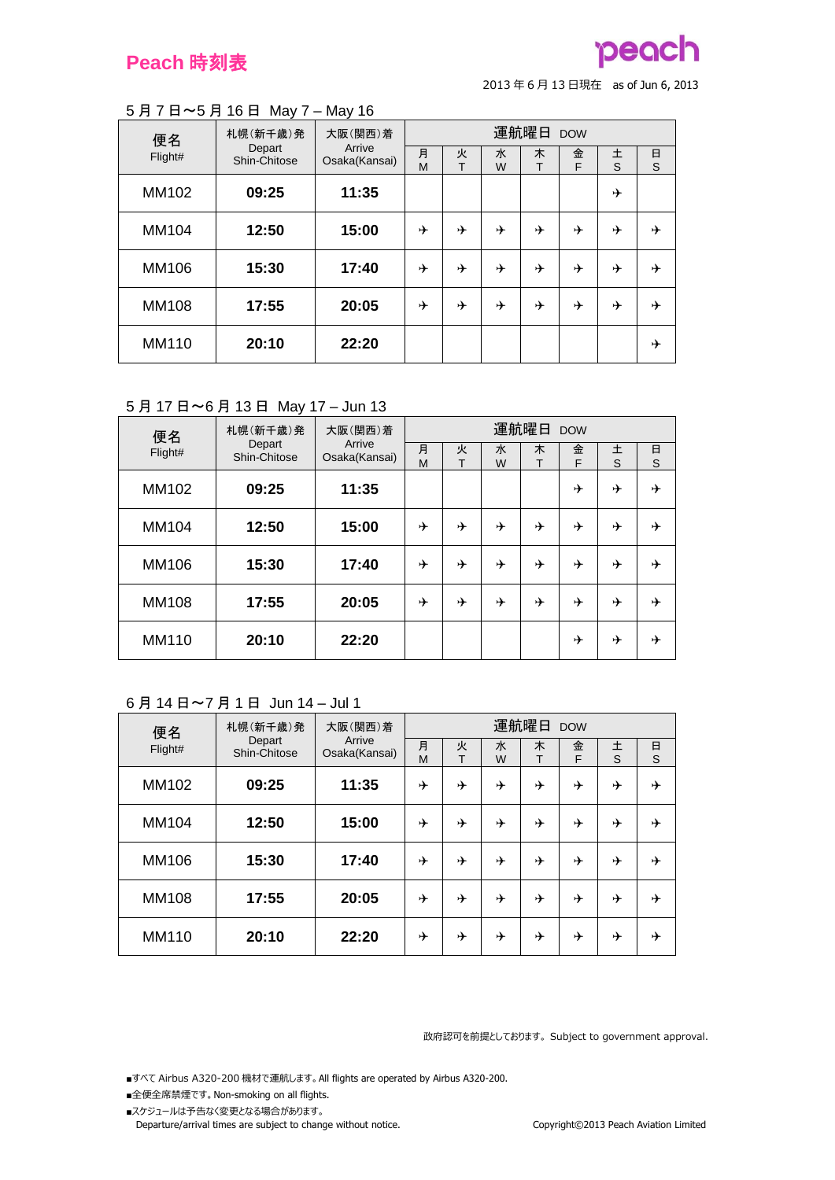

#### 5 月 7 日~5 月 16 日 May 7 – May 16

| 便名           | 札幌(新千歳)発<br>Depart | 大阪(関西)着<br>Arrive | 運航曜日 DOW |        |        |        |        |        |        |  |
|--------------|--------------------|-------------------|----------|--------|--------|--------|--------|--------|--------|--|
| Flight#      | Shin-Chitose       | Osaka(Kansai)     | 月<br>M   | 火<br>т | 水<br>W | 木<br>T | 金<br>F | 土<br>S | 日<br>S |  |
| MM102        | 09:25              | 11:35             |          |        |        |        |        | ⊁      |        |  |
| MM104        | 12:50              | 15:00             | ⊁        | ⊁      | ⊁      | ⊁      | ⊁      | ⊁      | ⊁      |  |
| MM106        | 15:30              | 17:40             | ⊁        | ⊁      | ⊁      | ⊁      | ⊁      | ⊁      | ⊁      |  |
| <b>MM108</b> | 17:55              | 20:05             | ⊁        | ⊁      | ⊁      | ⊁      | ⊁      | ⊁      | ⊁      |  |
| MM110        | 20:10              | 22:20             |          |        |        |        |        |        | ⊁      |  |

## 5 月 17 日~6 月 13 日 May 17 – Jun 13

| 便名           | 札幌(新千歳)発               | 大阪(関西)着                 | 運航曜日 DOW |        |        |        |        |        |        |  |
|--------------|------------------------|-------------------------|----------|--------|--------|--------|--------|--------|--------|--|
| Flight#      | Depart<br>Shin-Chitose | Arrive<br>Osaka(Kansai) | 月<br>M   | 火<br>Т | 水<br>W | 木<br>Т | 金<br>F | 土<br>S | 日<br>S |  |
| MM102        | 09:25                  | 11:35                   |          |        |        |        | ⊁      | ⊁      | ⊁      |  |
| MM104        | 12:50                  | 15:00                   | ⊁        | ⊁      | ⊁      | ⊁      | ⊁      | ⊁      | ⊁      |  |
| MM106        | 15:30                  | 17:40                   | ⊁        | ⊁      | ⊁      | ⊁      | ⊁      | ⊁      | ⊁      |  |
| <b>MM108</b> | 17:55                  | 20:05                   | ⊁        | ⊁      | ⊁      | ⊁      | ⊁      | ⊁      | ⊁      |  |
| <b>MM110</b> | 20:10                  | 22:20                   |          |        |        |        | ⊁      | ⊁      | ⊁      |  |

## 6 月 14 日~7 月 1 日 Jun 14 – Jul 1

| 便名           | 札幌(新千歳)発               | 大阪(関西)着<br>Arrive | 運航曜日 DOW |        |        |        |        |        |        |  |
|--------------|------------------------|-------------------|----------|--------|--------|--------|--------|--------|--------|--|
| Flight#      | Depart<br>Shin-Chitose | Osaka(Kansai)     | 月<br>M   | 火<br>т | 水<br>W | 木<br>т | 金<br>F | 土<br>S | 日<br>S |  |
| MM102        | 09:25                  | 11:35             | ⊁        | ⊁      | →      | ⊁      | ⊁      | ⊁      | ⊁      |  |
| MM104        | 12:50                  | 15:00             | ⊁        | ⊁      | →      | ⊁      | ⊁      | ⊁      | ⊁      |  |
| MM106        | 15:30                  | 17:40             | ⊁        | ⊁      | ⊁      | ⊁      | ⊁      | ⊁      | ⊁      |  |
| <b>MM108</b> | 17:55                  | 20:05             | ⊁        | ⊁      | →      | ⊁      | ⊁      | ⊁      | ⊁      |  |
| MM110        | 20:10                  | 22:20             | ⊁        | ⊁      | ⊁      | ⊁      | ⊁      | ⊁      | ⊁      |  |

政府認可を前提としております。 Subject to government approval.

- ■全便全席禁煙です。 Non-smoking on all flights.
- ■スケジュールは予告なく変更となる場合があります。 Departure/arrival times are subject to change without notice. Copyright©2013 Peach Aviation Limited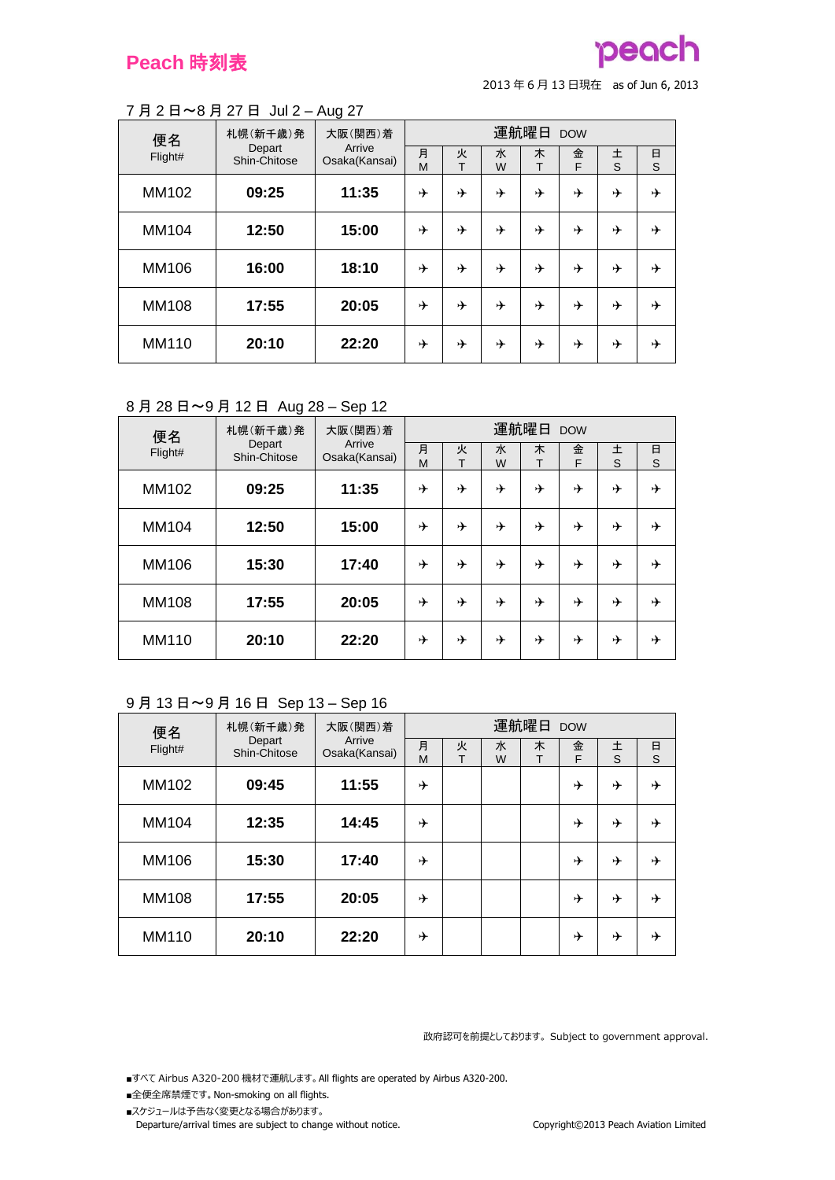# peach

<sup>2013</sup> <sup>年</sup> <sup>6</sup> <sup>月</sup> <sup>13</sup> 日現在 as of Jun 6, 2013

#### 7 月 2 日~8 月 27 日 Jul 2 – Aug 27

| 便名           | 札幌(新千歳)発               | -<br>大阪(関西)着            | 運航曜日<br><b>DOW</b> |        |        |        |        |        |        |  |
|--------------|------------------------|-------------------------|--------------------|--------|--------|--------|--------|--------|--------|--|
| Flight#      | Depart<br>Shin-Chitose | Arrive<br>Osaka(Kansai) | 月<br>M             | 火<br>T | 水<br>W | 木<br>т | 金<br>F | 土<br>S | 日<br>S |  |
| MM102        | 09:25                  | 11:35                   | ⊁                  | ⊁      | ⊁      | ⊁      | ⊁      | ⊁      | ⊁      |  |
| MM104        | 12:50                  | 15:00                   | ⊁                  | ⊁      | ⊁      | ⊁      | ⊁      | ⊁      | ⊁      |  |
| MM106        | 16:00                  | 18:10                   | ⊁                  | ⊁      | ⊁      | ⊁      | →      | ⊁      | ⊁      |  |
| <b>MM108</b> | 17:55                  | 20:05                   | ⊁                  | ⊁      | ⊁      | ⊁      | ⊁      | ⊁      | ⊁      |  |
| MM110        | 20:10                  | 22:20                   | ⊁                  | ⊁      | ⊁      | ⊁      | ⊁      | ⊁      | ⊁      |  |

## 8 月 28 日~9 月 12 日 Aug 28 – Sep 12

| 便名           | 札幌(新千歳)発<br>Depart | 大阪(関西)着                 | 運航曜日 DOW |        |        |        |        |        |        |  |
|--------------|--------------------|-------------------------|----------|--------|--------|--------|--------|--------|--------|--|
| Flight#      | Shin-Chitose       | Arrive<br>Osaka(Kansai) | 月<br>M   | 火<br>т | 水<br>W | 木<br>T | 金<br>F | 土<br>S | 日<br>S |  |
| MM102        | 09:25              | 11:35                   | ⊁        | ⊁      | ⊁      | ⊁      | ⊁      | ⊁      | ⊁      |  |
| MM104        | 12:50              | 15:00                   | ⊁        | ⊁      | ⊁      | ⊁      | ⊁      | ⊁      | ⊁      |  |
| MM106        | 15:30              | 17:40                   | ⊁        | ⊁      | ⊁      | ⊁      | ⊁      | ⊁      | ⊁      |  |
| <b>MM108</b> | 17:55              | 20:05                   | ⊁        | ⊁      | ⊁      | ⊁      | ⊁      | ⊁      | ⊁      |  |
| MM110        | 20:10              | 22:20                   | ⊁        | ⊁      | ⊁      | ⊁      | ⊁      | ⊁      | ⊁      |  |

## 9 月 13 日~9 月 16 日 Sep 13 – Sep 16

| 便名           | 札幌(新千歳)発               | 大阪(関西)着                 |        |        |        | 運航曜日 DOW |        |        |        |
|--------------|------------------------|-------------------------|--------|--------|--------|----------|--------|--------|--------|
| Flight#      | Depart<br>Shin-Chitose | Arrive<br>Osaka(Kansai) | 月<br>M | 火<br>Т | 水<br>W | 木<br>T   | 金<br>F | 土<br>S | 日<br>S |
| MM102        | 09:45                  | 11:55                   | ⊁      |        |        |          | ⊁      | ⊁      | ⊁      |
| MM104        | 12:35                  | 14:45                   | ⊁      |        |        |          | ⊁      | ⊁      | ⊬      |
| MM106        | 15:30                  | 17:40                   | ⊁      |        |        |          | ⊁      | ⊁      | ⊁      |
| <b>MM108</b> | 17:55                  | 20:05                   | ⊁      |        |        |          | ⊁      | ⊁      | ⊁      |
| MM110        | 20:10                  | 22:20                   | ⊁      |        |        |          | ⊁      | ⊁      | ⊁      |

政府認可を前提としております。 Subject to government approval.

- ■全便全席禁煙です。 Non-smoking on all flights.
- ■スケジュールは予告なく変更となる場合があります。 Departure/arrival times are subject to change without notice. Copyright©2013 Peach Aviation Limited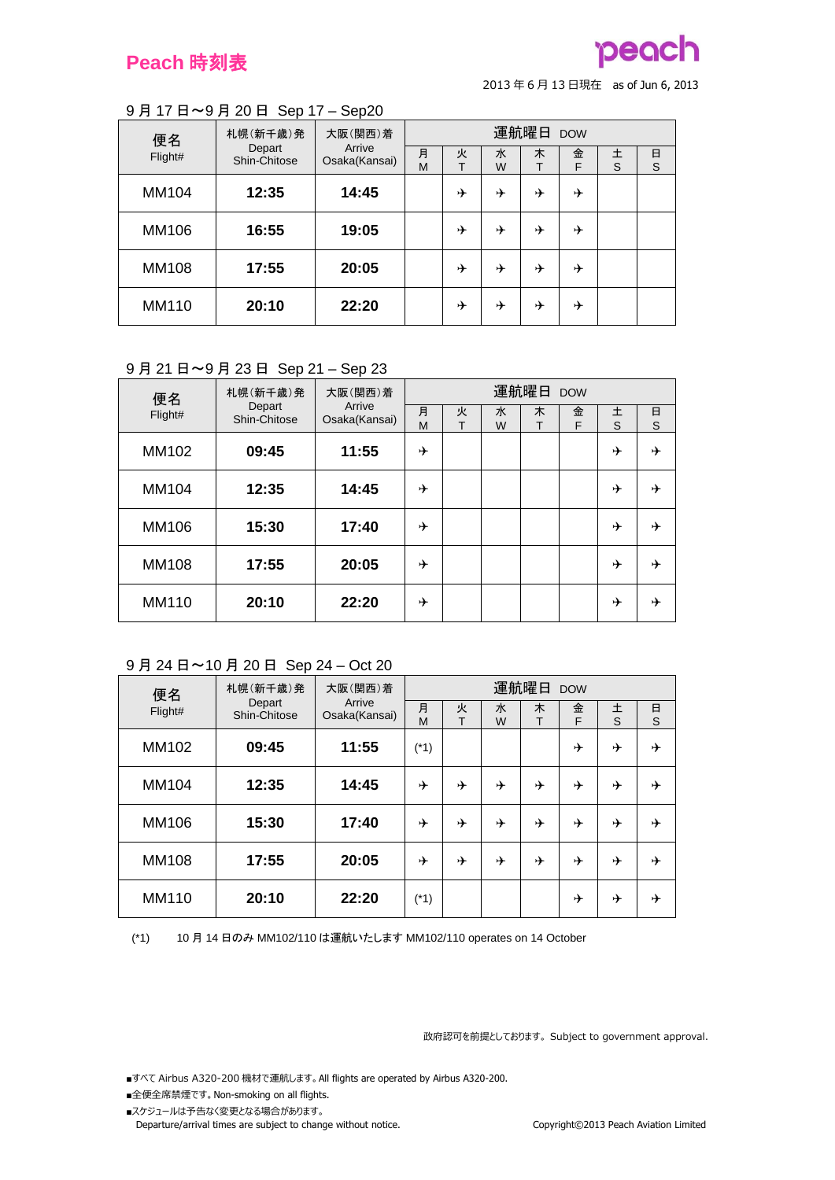

#### 9 月 17 日~9 月 20 日 Sep 17 – Sep20

| 便名      | 札幌(新千歳)発               | 大阪(関西)着<br>Arrive |        |        |        | 運航曜日 DOW |        |        |        |
|---------|------------------------|-------------------|--------|--------|--------|----------|--------|--------|--------|
| Flight# | Depart<br>Shin-Chitose | Osaka(Kansai)     | 月<br>М | 火<br>т | 水<br>W | 木        | 金<br>F | 土<br>S | 日<br>S |
| MM104   | 12:35                  | 14:45             |        | ⊁      | ⊁      | ⊁        | ⊁      |        |        |
| MM106   | 16:55                  | 19:05             |        | ⊁      | ⊁      | ⊁        | ⊁      |        |        |
| MM108   | 17:55                  | 20:05             |        | ⊬      | ⊁      | ⊁        | ⊁      |        |        |
| MM110   | 20:10                  | 22:20             |        | ⊬      | ⊁      | ⊁        | ⊁      |        |        |

#### 9 月 21 日~9 月 23 日 Sep 21 – Sep 23

| 便名           | 札幌(新千歳)発               | 大阪(関西)着<br>Arrive | 運航曜日 DOW |        |        |        |        |        |        |  |
|--------------|------------------------|-------------------|----------|--------|--------|--------|--------|--------|--------|--|
| Flight#      | Depart<br>Shin-Chitose | Osaka(Kansai)     | 月<br>M   | 火<br>т | 水<br>W | 木<br>т | 金<br>F | 土<br>S | 日<br>S |  |
| MM102        | 09:45                  | 11:55             | ⊁        |        |        |        |        | ⊁      | ⊁      |  |
| MM104        | 12:35                  | 14:45             | ⊁        |        |        |        |        | ⊁      | ⊁      |  |
| MM106        | 15:30                  | 17:40             | ⊁        |        |        |        |        | ⊁      | ⊁      |  |
| <b>MM108</b> | 17:55                  | 20:05             | ⊁        |        |        |        |        | ⊁      | ⊁      |  |
| MM110        | 20:10                  | 22:20             | ⊁        |        |        |        |        | ⊁      | ⊁      |  |

#### 9 月 24 日~10 月 20 日 Sep 24 – Oct 20

| 便名<br>Flight# | 札幌(新千歳)発<br>Depart<br>Shin-Chitose | 大阪(関西)着<br>Arrive<br>Osaka(Kansai) | 運航曜日 DOW |        |        |        |        |        |        |
|---------------|------------------------------------|------------------------------------|----------|--------|--------|--------|--------|--------|--------|
|               |                                    |                                    | 月<br>M   | 火<br>т | 水<br>W | 木<br>т | 金<br>F | 土<br>S | 日<br>S |
| MM102         | 09:45                              | 11:55                              | $(*1)$   |        |        |        | ⊁      | ⊁      | ⊁      |
| MM104         | 12:35                              | 14:45                              | ⊁        | ⊁      | ⊁      | ⊁      | ⊁      | ⊁      | ⊁      |
| MM106         | 15:30                              | 17:40                              | ⊁        | ⊁      | →      | ⊁      | ⊁      | ⊁      | ⊁      |
| <b>MM108</b>  | 17:55                              | 20:05                              | ⊁        | ⊁      | →      | ⊁      | ⊁      | ⊁      | ⊁      |
| MM110         | 20:10                              | 22:20                              | (*1)     |        |        |        | ⊁      | ⊁      | ⊁      |

(\*1) 10 月 14 日のみ MM102/110 は運航いたします MM102/110 operates on 14 October

政府認可を前提としております。 Subject to government approval.

- ■全便全席禁煙です。 Non-smoking on all flights.
- ■スケジュールは予告なく変更となる場合があります。 Departure/arrival times are subject to change without notice. Copyright©2013 Peach Aviation Limited